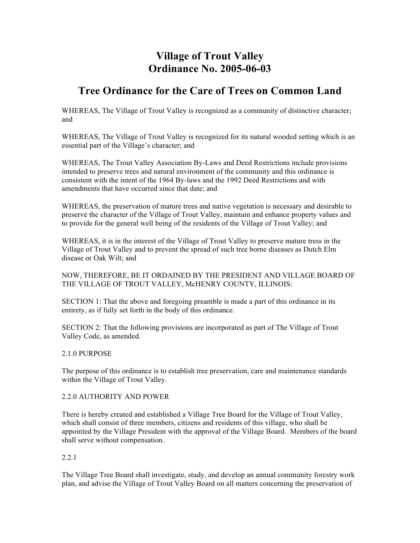# **Village of Trout Valley Ordinance No. 2005-06-03**

## **Tree Ordinance for the Care of Trees on Common Land**

WHEREAS, The Village of Trout Valley is recognized as a community of distinctive character; and

WHEREAS, The Village of Trout Valley is recognized for its natural wooded setting which is an essential part of the Village's character; and

WHEREAS, The Trout Valley Association By-Laws and Deed Restrictions include provisions intended to preserve trees and natural environment of the community and this ordinance is consistent with the intent of the 1964 By-laws and the 1992 Deed Restrictions and with amendments that have occurred since that date; and

WHEREAS, the preservation of mature trees and native vegetation is necessary and desirable to preserve the character of the Village of Trout Valley, maintain and enhance property values and to provide for the general well being of the residents of the Village of Trout Valley; and

WHEREAS, it is in the interest of the Village of Trout Valley to preserve mature tress in the Village of Trout Valley and to prevent the spread of such tree borne diseases as Dutch Elm disease or Oak Wilt; and

NOW, THEREFORE, BE IT ORDAINED BY THE PRESIDENT AND VILLAGE BOARD OF THE VILLAGE OF TROUT VALLEY, McHENRY COUNTY, ILLINOIS:

SECTION 1: That the above and foregoing preamble is made a part of this ordinance in its entirety, as if fully set forth in the body of this ordinance.

SECTION 2: That the following provisions are incorporated as part of The Village of Trout Valley Code, as amended.

#### 2.1.0 PURPOSE

The purpose of this ordinance is to establish tree preservation, care and maintenance standards within the Village of Trout Valley.

#### 2.2.0 AUTHORITY AND POWER

There is hereby created and established a Village Tree Board for the Village of Trout Valley, which shall consist of three members, citizens and residents of this village, who shall be appointed by the Village President with the approval of the Village Board. Members of the board shall serve without compensation.

#### 2.2.1

The Village Tree Board shall investigate, study, and develop an annual community forestry work plan, and advise the Village of Trout Valley Board on all matters concerning the preservation of